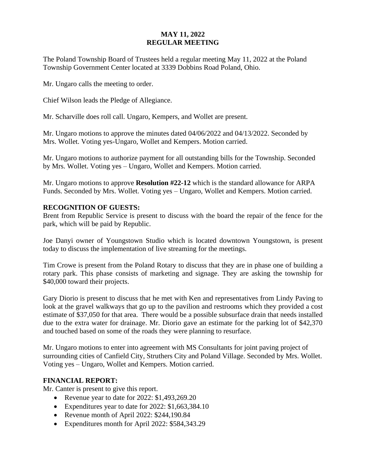# **MAY 11, 2022 REGULAR MEETING**

The Poland Township Board of Trustees held a regular meeting May 11, 2022 at the Poland Township Government Center located at 3339 Dobbins Road Poland, Ohio.

Mr. Ungaro calls the meeting to order.

Chief Wilson leads the Pledge of Allegiance.

Mr. Scharville does roll call. Ungaro, Kempers, and Wollet are present.

Mr. Ungaro motions to approve the minutes dated 04/06/2022 and 04/13/2022. Seconded by Mrs. Wollet. Voting yes-Ungaro, Wollet and Kempers. Motion carried.

Mr. Ungaro motions to authorize payment for all outstanding bills for the Township. Seconded by Mrs. Wollet. Voting yes – Ungaro, Wollet and Kempers. Motion carried.

Mr. Ungaro motions to approve **Resolution #22-12** which is the standard allowance for ARPA Funds. Seconded by Mrs. Wollet. Voting yes – Ungaro, Wollet and Kempers. Motion carried.

### **RECOGNITION OF GUESTS:**

Brent from Republic Service is present to discuss with the board the repair of the fence for the park, which will be paid by Republic.

Joe Danyi owner of Youngstown Studio which is located downtown Youngstown, is present today to discuss the implementation of live streaming for the meetings.

Tim Crowe is present from the Poland Rotary to discuss that they are in phase one of building a rotary park. This phase consists of marketing and signage. They are asking the township for \$40,000 toward their projects.

Gary Diorio is present to discuss that he met with Ken and representatives from Lindy Paving to look at the gravel walkways that go up to the pavilion and restrooms which they provided a cost estimate of \$37,050 for that area. There would be a possible subsurface drain that needs installed due to the extra water for drainage. Mr. Diorio gave an estimate for the parking lot of \$42,370 and touched based on some of the roads they were planning to resurface.

Mr. Ungaro motions to enter into agreement with MS Consultants for joint paving project of surrounding cities of Canfield City, Struthers City and Poland Village. Seconded by Mrs. Wollet. Voting yes – Ungaro, Wollet and Kempers. Motion carried.

# **FINANCIAL REPORT:**

Mr. Canter is present to give this report.

- Revenue year to date for 2022: \$1,493,269.20
- Expenditures year to date for 2022: \$1,663,384.10
- Revenue month of April 2022: \$244,190.84
- Expenditures month for April 2022: \$584,343.29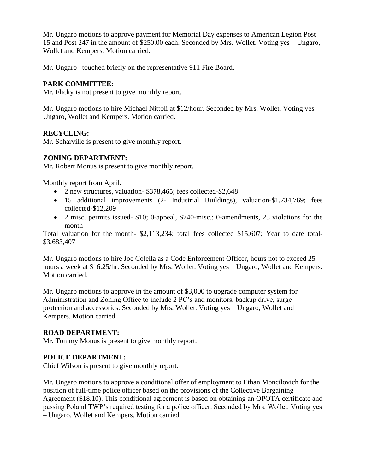Mr. Ungaro motions to approve payment for Memorial Day expenses to American Legion Post 15 and Post 247 in the amount of \$250.00 each. Seconded by Mrs. Wollet. Voting yes – Ungaro, Wollet and Kempers. Motion carried.

Mr. Ungaro touched briefly on the representative 911 Fire Board.

## **PARK COMMITTEE:**

Mr. Flicky is not present to give monthly report.

Mr. Ungaro motions to hire Michael Nittoli at \$12/hour. Seconded by Mrs. Wollet. Voting yes – Ungaro, Wollet and Kempers. Motion carried.

### **RECYCLING:**

Mr. Scharville is present to give monthly report.

### **ZONING DEPARTMENT:**

Mr. Robert Monus is present to give monthly report.

Monthly report from April.

- 2 new structures, valuation- \$378,465; fees collected-\$2,648
- 15 additional improvements (2- Industrial Buildings), valuation-\$1,734,769; fees collected-\$12,209
- 2 misc. permits issued- \$10; 0-appeal, \$740-misc.; 0-amendments, 25 violations for the month

Total valuation for the month- \$2,113,234; total fees collected \$15,607; Year to date total- \$3,683,407

Mr. Ungaro motions to hire Joe Colella as a Code Enforcement Officer, hours not to exceed 25 hours a week at \$16.25/hr. Seconded by Mrs. Wollet. Voting yes – Ungaro, Wollet and Kempers. Motion carried.

Mr. Ungaro motions to approve in the amount of \$3,000 to upgrade computer system for Administration and Zoning Office to include 2 PC's and monitors, backup drive, surge protection and accessories. Seconded by Mrs. Wollet. Voting yes – Ungaro, Wollet and Kempers. Motion carried.

#### **ROAD DEPARTMENT:**

Mr. Tommy Monus is present to give monthly report.

#### **POLICE DEPARTMENT:**

Chief Wilson is present to give monthly report.

Mr. Ungaro motions to approve a conditional offer of employment to Ethan Moncilovich for the position of full-time police officer based on the provisions of the Collective Bargaining Agreement (\$18.10). This conditional agreement is based on obtaining an OPOTA certificate and passing Poland TWP's required testing for a police officer. Seconded by Mrs. Wollet. Voting yes – Ungaro, Wollet and Kempers. Motion carried.